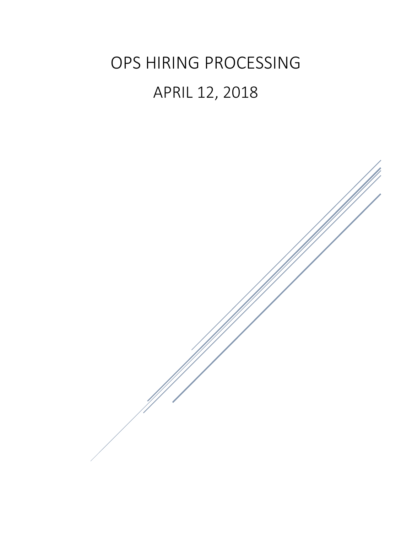# OPS HIRING PROCESSING APRIL 12, 2018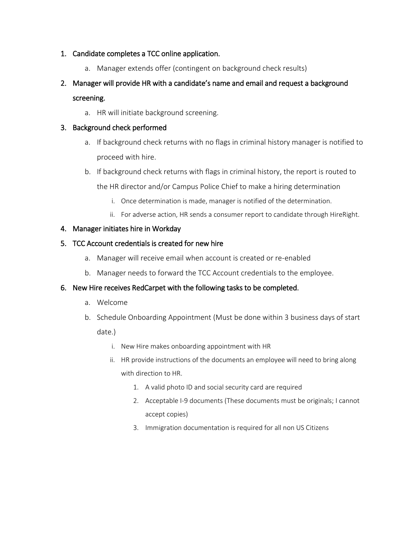#### 1. Candidate completes a TCC online application.

a. Manager extends offer (contingent on background check results)

## 2. Manager will provide HR with a candidate's name and email and request a background screening.

a. HR will initiate background screening.

#### 3. Background check performed

- a. If background check returns with no flags in criminal history manager is notified to proceed with hire.
- b. If background check returns with flags in criminal history, the report is routed to the HR director and/or Campus Police Chief to make a hiring determination
	- i. Once determination is made, manager is notified of the determination.
	- ii. For adverse action, HR sends a consumer report to candidate through HireRight.

#### 4. Manager initiates hire in Workday

#### 5. TCC Account credentials is created for new hire

- a. Manager will receive email when account is created or re-enabled
- b. Manager needs to forward the TCC Account credentials to the employee.

### 6. New Hire receives RedCarpet with the following tasks to be completed.

- a. Welcome
- b. Schedule Onboarding Appointment (Must be done within 3 business days of start date.)
	- i. New Hire makes onboarding appointment with HR
	- ii. HR provide instructions of the documents an employee will need to bring along with direction to HR.
		- 1. A valid photo ID and social security card are required
		- 2. Acceptable I-9 documents (These documents must be originals; I cannot accept copies)
		- 3. Immigration documentation is required for all non US Citizens